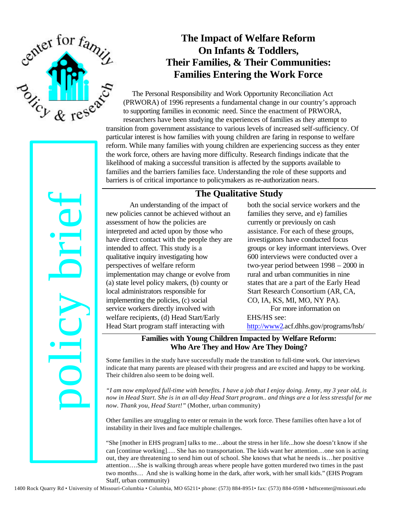

# **The Impact of Welfare Reform On Infants & Toddlers, Their Families, & Their Communities: Families Entering the Work Force**

The Personal Responsibility and Work Opportunity Reconciliation Act (PRWORA) of 1996 represents a fundamental change in our country's approach to supporting families in economic need. Since the enactment of PRWORA, researchers have been studying the experiences of families as they attempt to transition from government assistance to various levels of increased self-sufficiency. Of particular interest is how families with young children are faring in response to welfare reform. While many families with young children are experiencing success as they enter the work force, others are having more difficulty. Research findings indicate that the likelihood of making a successful transition is affected by the supports available to families and the barriers families face. Understanding the role of these supports and barriers is of critical importance to policymakers as re-authorization nears.

### **The Qualitative Study**

An understanding of the impact of new policies cannot be achieved without an assessment of how the policies are interpreted and acted upon by those who have direct contact with the people they are intended to affect. This study is a qualitative inquiry investigating how perspectives of welfare reform implementation may change or evolve from (a) state level policy makers, (b) county or local administrators responsible for implementing the policies, (c) social service workers directly involved with welfare recipients, (d) Head Start/Early Head Start program staff interacting with **1400** An understanding of The Qualitative Study of the size species and of the size of the columbiality of the properties and columbia, the system of the properties of mission to the columbia of the system of the columbi

both the social service workers and the families they serve, and e) families currently or previously on cash assistance. For each of these groups, investigators have conducted focus groups or key informant interviews. Over 600 interviews were conducted over a two-year period between 1998 – 2000 in rural and urban communities in nine states that are a part of the Early Head Start Research Consortium (AR, CA, CO, IA, KS, MI, MO, NY PA). For more information on EHS/HS see:

http://www2.acf.dhhs.gov/programs/hsb/

### **Families with Young Children Impacted by Welfare Reform: Who Are They and How Are They Doing?**

Some families in the study have successfully made the transition to full-time work. Our interviews indicate that many parents are pleased with their progress and are excited and happy to be working. Their children also seem to be doing well.

*"I am now employed full-time with benefits. I have a job that I enjoy doing. Jenny, my 3 year old, is now in Head Start. She is in an all-day Head Start program.. and things are a lot less stressful for me now. Thank you, Head Start!"* (Mother, urban community)

Other families are struggling to enter or remain in the work force. These families often have a lot of instability in their lives and face multiple challenges.

"She [mother in EHS program] talks to me…about the stress in her life...how she doesn't know if she can [continue working].… She has no transportation. The kids want her attention…one son is acting out, they are threatening to send him out of school. She knows that what he needs is…her positive attention….She is walking through areas where people have gotten murdered two times in the past two months… And she is walking home in the dark, after work, with her small kids." (EHS Program Staff, urban community)